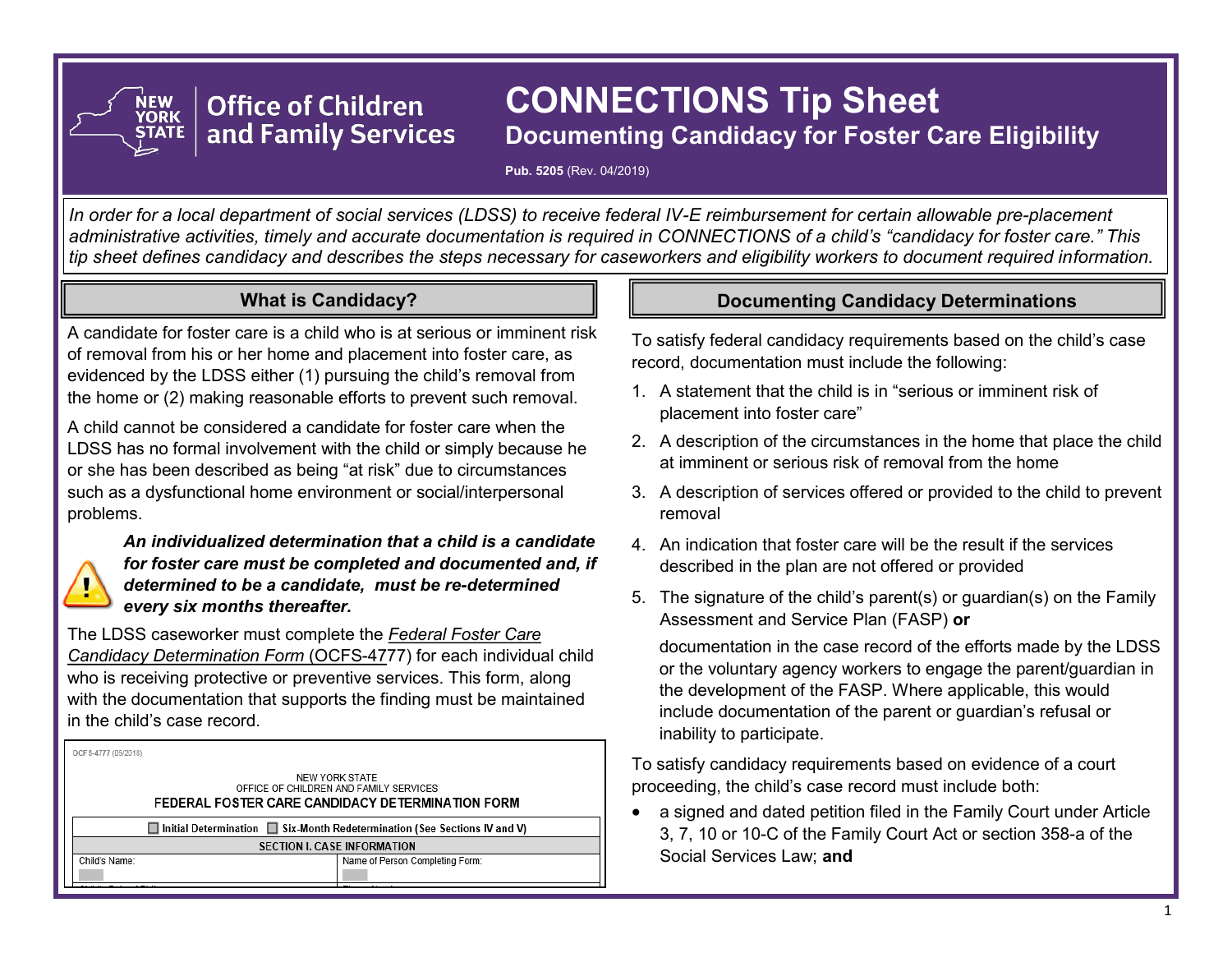# **CONNECTIONS Tip Sheet Documenting Candidacy for Foster Care Eligibility**

**Pub. 5205** (Rev. 04/2019)

*In order for a local department of social services (LDSS) to receive federal IV-E reimbursement for certain allowable pre-placement administrative activities, timely and accurate documentation is required in CONNECTIONS of a child's "candidacy for foster care." This tip sheet defines candidacy and describes the steps necessary for caseworkers and eligibility workers to document required information.* 

## **What is Candidacy?**

**Office of Children** 

and Family Services

A candidate for foster care is a child who is at serious or imminent risk of removal from his or her home and placement into foster care, as evidenced by the LDSS either (1) pursuing the child's removal from the home or (2) making reasonable efforts to prevent such removal.

A child cannot be considered a candidate for foster care when the LDSS has no formal involvement with the child or simply because he or she has been described as being "at risk" due to circumstances such as a dysfunctional home environment or social/interpersonal problems.



NEW<br>YORK

*An individualized determination that a child is a candidate for foster care must be completed and documented and, if determined to be a candidate, must be re-determined every six months thereafter.*

The LDSS caseworker must complete the *Federal Foster Care Candidacy Determination Form* (OCFS-4777) for each individual child who is receiving protective or preventive services. This form, along with the documentation that supports the finding must be maintained in the child's case record.

OCES-4777 (05/2019)

Child's Name

| NEW YORK STATE<br>OFFICE OF CHILDREN AND FAMILY SERVICES.<br>FEDERAL FOSTER CARE CANDIDACY DETERMINATION FORM |
|---------------------------------------------------------------------------------------------------------------|
|                                                                                                               |
| $\Box$ Initial Determination $\Box$ Six-Month Redetermination (See Sections IV and V                          |

**SECTION I. CASE INFORMATION** Name of Person Completing Form

## **Documenting Candidacy Determinations**

To satisfy federal candidacy requirements based on the child's case record, documentation must include the following:

- 1. A statement that the child is in "serious or imminent risk of placement into foster care"
- 2. A description of the circumstances in the home that place the child at imminent or serious risk of removal from the home
- 3. A description of services offered or provided to the child to prevent removal
- 4. An indication that foster care will be the result if the services described in the plan are not offered or provided
- 5. The signature of the child's parent(s) or guardian(s) on the Family Assessment and Service Plan (FASP) **or**

documentation in the case record of the efforts made by the LDSS or the voluntary agency workers to engage the parent/guardian in the development of the FASP. Where applicable, this would include documentation of the parent or guardian's refusal or inability to participate.

To satisfy candidacy requirements based on evidence of a court proceeding, the child's case record must include both:

• a signed and dated petition filed in the Family Court under Article 3, 7, 10 or 10-C of the Family Court Act or section 358-a of the Social Services Law; **and**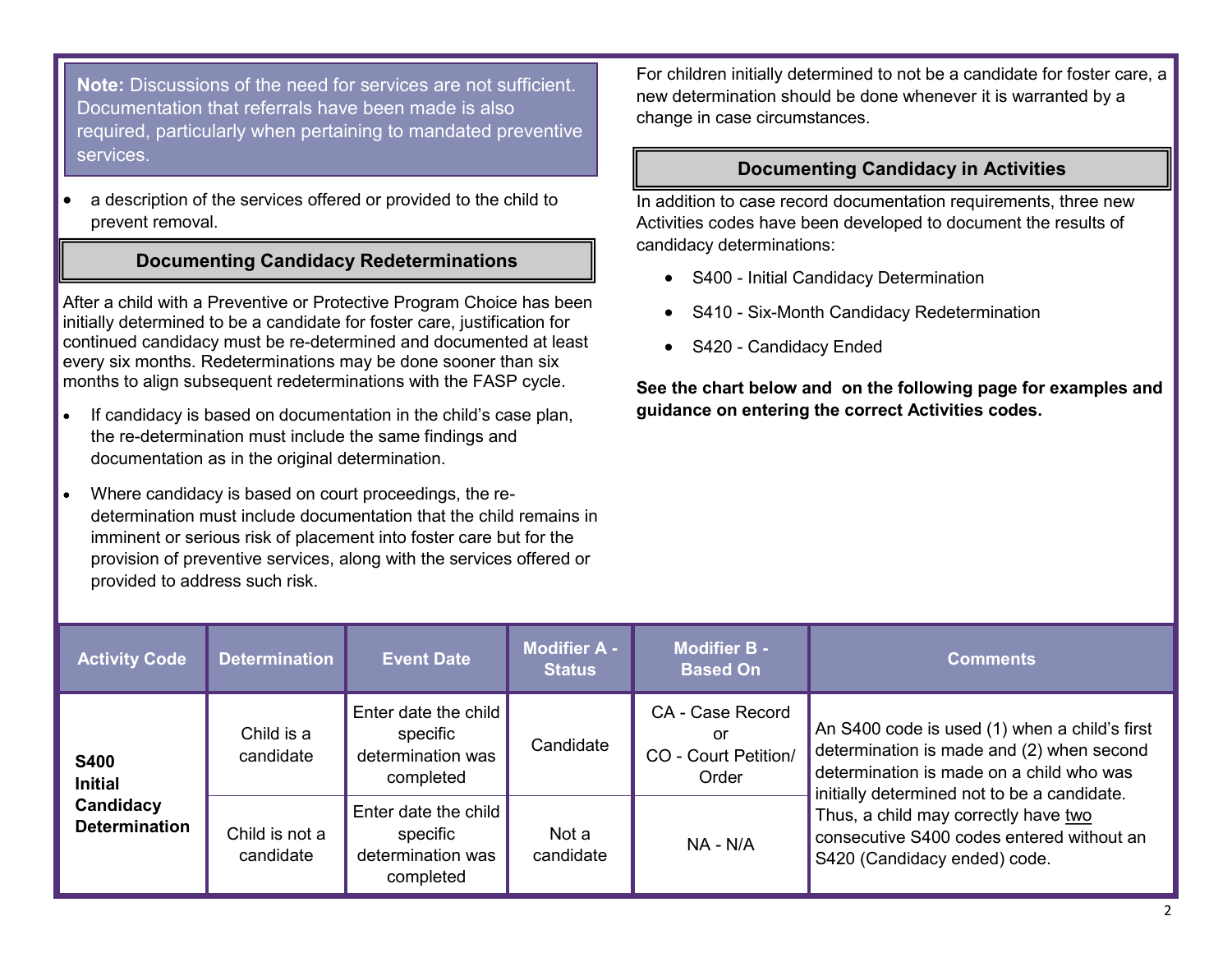**Note:** Discussions of the need for services are not sufficient. Documentation that referrals have been made is also required, particularly when pertaining to mandated preventive services.

• a description of the services offered or provided to the child to prevent removal.

#### **Documenting Candidacy Redeterminations**

After a child with a Preventive or Protective Program Choice has been initially determined to be a candidate for foster care, justification for continued candidacy must be re-determined and documented at least every six months. Redeterminations may be done sooner than six months to align subsequent redeterminations with the FASP cycle.

- If candidacy is based on documentation in the child's case plan, the re-determination must include the same findings and documentation as in the original determination.
- Where candidacy is based on court proceedings, the redetermination must include documentation that the child remains in imminent or serious risk of placement into foster care but for the provision of preventive services, along with the services offered or provided to address such risk.

For children initially determined to not be a candidate for foster care, a new determination should be done whenever it is warranted by a change in case circumstances.

#### **Documenting Candidacy in Activities**

In addition to case record documentation requirements, three new Activities codes have been developed to document the results of candidacy determinations:

- S400 Initial Candidacy Determination
- S410 Six-Month Candidacy Redetermination
- S420 Candidacy Ended

**See the chart below and on the following page for examples and guidance on entering the correct Activities codes.**

| <b>Activity Code</b>                                               | <b>Determination</b>        | <b>Event Date</b>                                                  | <b>Modifier A -</b><br><b>Status</b> | <b>Modifier B -</b><br><b>Based On</b>                  | <b>Comments</b>                                                                                                                                                                                                                                                                                            |
|--------------------------------------------------------------------|-----------------------------|--------------------------------------------------------------------|--------------------------------------|---------------------------------------------------------|------------------------------------------------------------------------------------------------------------------------------------------------------------------------------------------------------------------------------------------------------------------------------------------------------------|
| <b>S400</b><br><b>Initial</b><br>Candidacy<br><b>Determination</b> | Child is a<br>candidate     | Enter date the child<br>specific<br>determination was<br>completed | Candidate                            | CA - Case Record<br>or<br>CO - Court Petition/<br>Order | An S400 code is used (1) when a child's first<br>determination is made and (2) when second<br>determination is made on a child who was<br>initially determined not to be a candidate.<br>Thus, a child may correctly have two<br>consecutive S400 codes entered without an<br>S420 (Candidacy ended) code. |
|                                                                    | Child is not a<br>candidate | Enter date the child<br>specific<br>determination was<br>completed | Not a<br>candidate                   | NA - N/A                                                |                                                                                                                                                                                                                                                                                                            |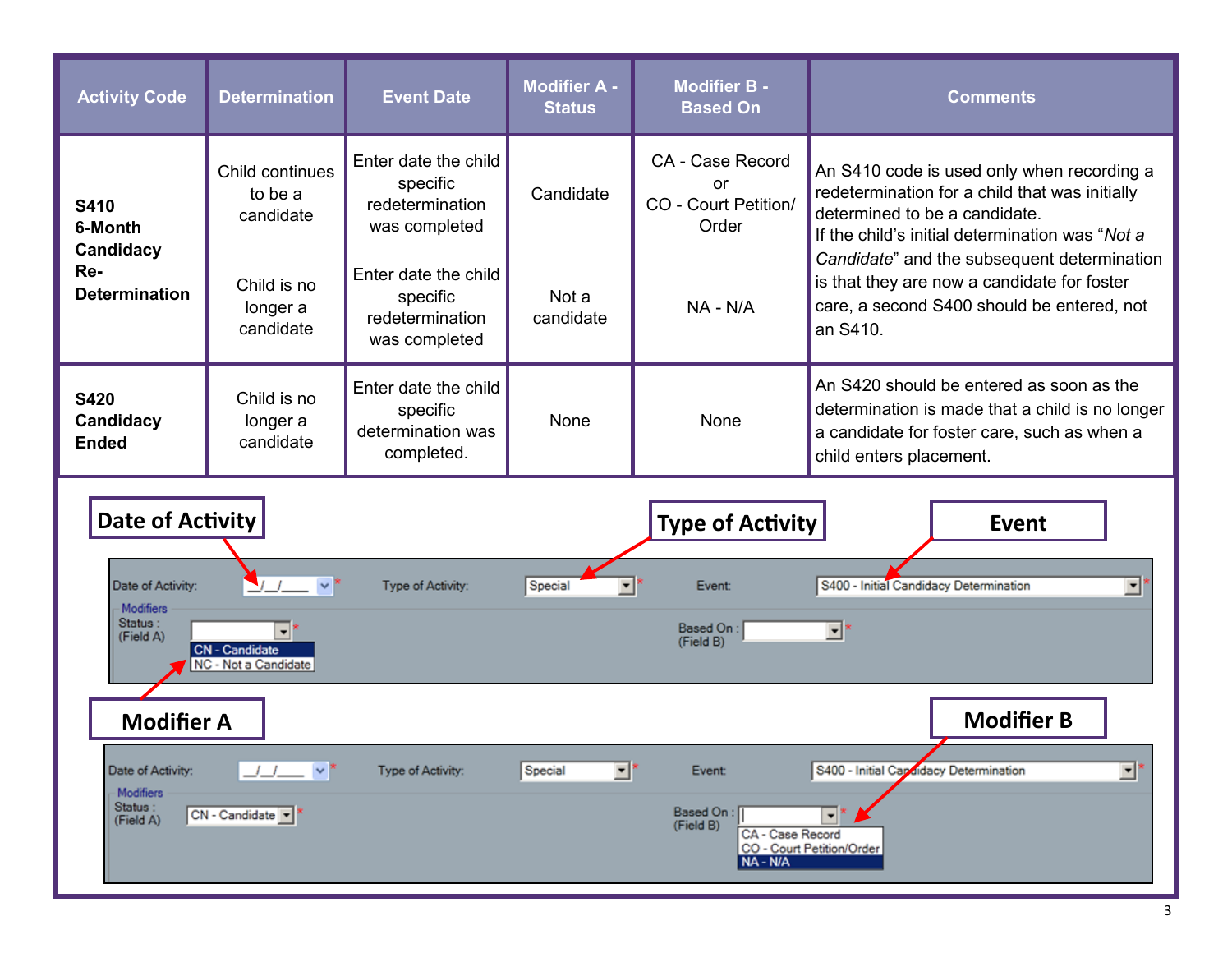| <b>Activity Code</b>                                               | <b>Determination</b>                                                  | <b>Event Date</b>                                                    | <b>Modifier A -</b><br><b>Status</b> | <b>Modifier B -</b><br><b>Based On</b>                  | <b>Comments</b>                                                                                                                                                                                                                                                                                                                          |  |
|--------------------------------------------------------------------|-----------------------------------------------------------------------|----------------------------------------------------------------------|--------------------------------------|---------------------------------------------------------|------------------------------------------------------------------------------------------------------------------------------------------------------------------------------------------------------------------------------------------------------------------------------------------------------------------------------------------|--|
| <b>S410</b><br>6-Month<br>Candidacy<br>Re-<br><b>Determination</b> | Child continues<br>to be a<br>candidate                               | Enter date the child<br>specific<br>redetermination<br>was completed | Candidate                            | CA - Case Record<br>or<br>CO - Court Petition/<br>Order | An S410 code is used only when recording a<br>redetermination for a child that was initially<br>determined to be a candidate.<br>If the child's initial determination was "Not a<br>Candidate" and the subsequent determination<br>is that they are now a candidate for foster<br>care, a second S400 should be entered, not<br>an S410. |  |
|                                                                    | Child is no<br>longer a<br>candidate                                  | Enter date the child<br>specific<br>redetermination<br>was completed | Not a<br>candidate                   | NA - N/A                                                |                                                                                                                                                                                                                                                                                                                                          |  |
| <b>S420</b><br>Candidacy<br><b>Ended</b>                           | Child is no<br>longer a<br>candidate                                  | Enter date the child<br>specific<br>determination was<br>completed.  | None                                 | None                                                    | An S420 should be entered as soon as the<br>determination is made that a child is no longer<br>a candidate for foster care, such as when a<br>child enters placement.                                                                                                                                                                    |  |
| Date of Activity<br><b>Type of Activity</b><br><b>Event</b>        |                                                                       |                                                                      |                                      |                                                         |                                                                                                                                                                                                                                                                                                                                          |  |
| Date of Activity:<br>Modifiers                                     |                                                                       | Type of Activity:                                                    | Special<br>$\overline{\phantom{a}}$  | Event:                                                  | S400 - Initial Candidacy Determination<br>⊻                                                                                                                                                                                                                                                                                              |  |
| Status:<br>(Field A)                                               | $\blacktriangledown$<br><b>CN</b> - Candidate<br>NC - Not a Candidate |                                                                      |                                      | Based On:<br>(Field B)                                  | 회                                                                                                                                                                                                                                                                                                                                        |  |
| <b>Modifier A</b>                                                  |                                                                       |                                                                      |                                      |                                                         | <b>Modifier B</b>                                                                                                                                                                                                                                                                                                                        |  |
| Date of Activity:<br>Modifiers                                     | _/__/____   v *                                                       | Type of Activity:                                                    | z<br>Special                         | Event:                                                  | $\overline{\phantom{0}}$<br>S400 - Initial Candidacy Determination                                                                                                                                                                                                                                                                       |  |
| Status :<br>(Field A)                                              | CN - Candidate                                                        |                                                                      |                                      | Based On:<br>(Field B)<br>CA - Case Record<br>NA - N/A  | –*<br>CO - Court Petition/Order                                                                                                                                                                                                                                                                                                          |  |